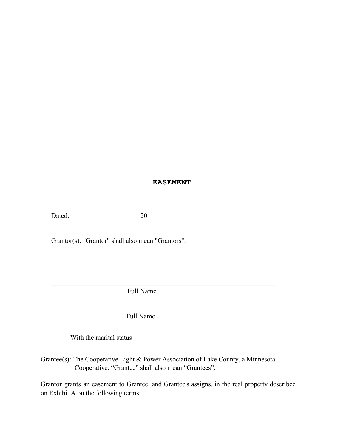## **EASEMENT**

Dated: \_\_\_\_\_\_\_\_\_\_\_\_\_\_\_\_\_\_\_\_ 20\_\_\_\_\_\_\_\_

Grantor(s): "Grantor" shall also mean "Grantors".

Full Name

Full Name

With the marital status **expansion of the marital** status **and** 

 $\mathcal{L}_\mathcal{L} = \mathcal{L}_\mathcal{L} = \mathcal{L}_\mathcal{L} = \mathcal{L}_\mathcal{L} = \mathcal{L}_\mathcal{L} = \mathcal{L}_\mathcal{L} = \mathcal{L}_\mathcal{L} = \mathcal{L}_\mathcal{L} = \mathcal{L}_\mathcal{L} = \mathcal{L}_\mathcal{L} = \mathcal{L}_\mathcal{L} = \mathcal{L}_\mathcal{L} = \mathcal{L}_\mathcal{L} = \mathcal{L}_\mathcal{L} = \mathcal{L}_\mathcal{L} = \mathcal{L}_\mathcal{L} = \mathcal{L}_\mathcal{L}$ 

 $\mathcal{L}_\mathcal{L} = \mathcal{L}_\mathcal{L} = \mathcal{L}_\mathcal{L} = \mathcal{L}_\mathcal{L} = \mathcal{L}_\mathcal{L} = \mathcal{L}_\mathcal{L} = \mathcal{L}_\mathcal{L} = \mathcal{L}_\mathcal{L} = \mathcal{L}_\mathcal{L} = \mathcal{L}_\mathcal{L} = \mathcal{L}_\mathcal{L} = \mathcal{L}_\mathcal{L} = \mathcal{L}_\mathcal{L} = \mathcal{L}_\mathcal{L} = \mathcal{L}_\mathcal{L} = \mathcal{L}_\mathcal{L} = \mathcal{L}_\mathcal{L}$ 

Grantee(s): The Cooperative Light & Power Association of Lake County, a Minnesota Cooperative. "Grantee" shall also mean "Grantees".

Grantor grants an easement to Grantee, and Grantee's assigns, in the real property described on Exhibit A on the following terms: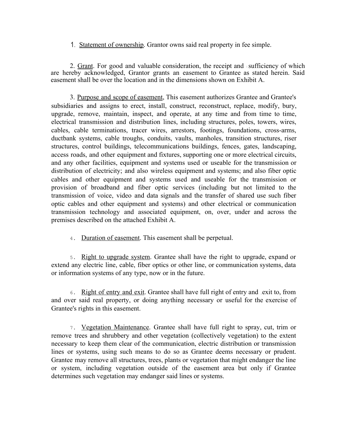## Statement of ownership. Grantor owns said real property in fee simple.

2. Grant. For good and valuable consideration, the receipt and sufficiency of which are hereby acknowledged, Grantor grants an easement to Grantee as stated herein. Said easement shall be over the location and in the dimensions shown on Exhibit A.

3. Purpose and scope of easement, This easement authorizes Grantee and Grantee's subsidiaries and assigns to erect, install, construct, reconstruct, replace, modify, bury, upgrade, remove, maintain, inspect, and operate, at any time and from time to time, electrical transmission and distribution lines, including structures, poles, towers, wires, cables, cable terminations, tracer wires, arrestors, footings, foundations, cross-arms, ductbank systems, cable troughs, conduits, vaults, manholes, transition structures, riser structures, control buildings, telecommunications buildings, fences, gates, landscaping, access roads, and other equipment and fixtures, supporting one or more electrical circuits, and any other facilities, equipment and systems used or useable for the transmission or distribution of electricity; and also wireless equipment and systems; and also fiber optic cables and other equipment and systems used and useable for the transmission or provision of broadband and fiber optic services (including but not limited to the transmission of voice, video and data signals and the transfer of shared use such fiber optic cables and other equipment and systems) and other electrical or communication transmission technology and associated equipment, on, over, under and across the premises described on the attached Exhibit A.

4. Duration of easement. This easement shall be perpetual.

5. Right to upgrade system. Grantee shall have the right to upgrade, expand or extend any electric line, cable, fiber optics or other line, or communication systems, data or information systems of any type, now or in the future.

6. Right of entry and exit. Grantee shall have full right of entry and exit to, from and over said real property, or doing anything necessary or useful for the exercise of Grantee's rights in this easement.

7. Vegetation Maintenance. Grantee shall have full right to spray, cut, trim or remove trees and shrubbery and other vegetation (collectively vegetation) to the extent necessary to keep them clear of the communication, electric distribution or transmission lines or systems, using such means to do so as Grantee deems necessary or prudent. Grantee may remove all structures, trees, plants or vegetation that might endanger the line or system, including vegetation outside of the easement area but only if Grantee determines such vegetation may endanger said lines or systems.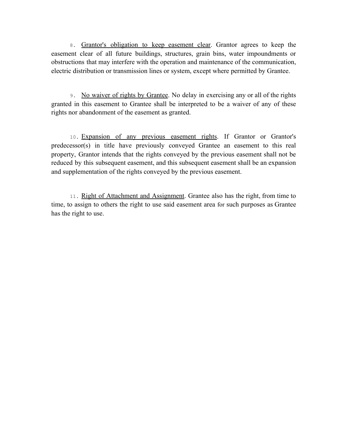8. Grantor's obligation to keep easement clear. Grantor agrees to keep the easement clear of all future buildings, structures, grain bins, water impoundments or obstructions that may interfere with the operation and maintenance of the communication, electric distribution or transmission lines or system, except where permitted by Grantee.

9. No waiver of rights by Grantee. No delay in exercising any or all of the rights granted in this easement to Grantee shall be interpreted to be a waiver of any of these rights nor abandonment of the easement as granted.

10. Expansion of any previous easement rights. If Grantor or Grantor's predecessor(s) in title have previously conveyed Grantee an easement to this real property, Grantor intends that the rights conveyed by the previous easement shall not be reduced by this subsequent easement, and this subsequent easement shall be an expansion and supplementation of the rights conveyed by the previous easement.

11. Right of Attachment and Assignment. Grantee also has the right, from time to time, to assign to others the right to use said easement area for such purposes as Grantee has the right to use.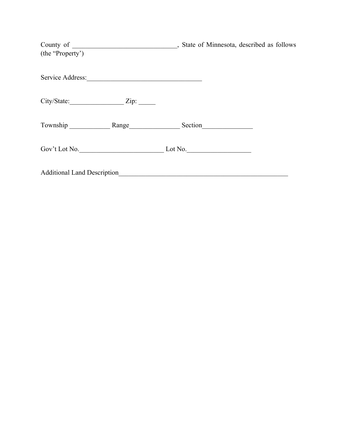| (the "Property")                   |         |
|------------------------------------|---------|
| Service Address:                   |         |
| $City/State:$ $Zip:$               |         |
| Township Range Range Section       |         |
| Gov't Lot No.                      | Lot No. |
| <b>Additional Land Description</b> |         |